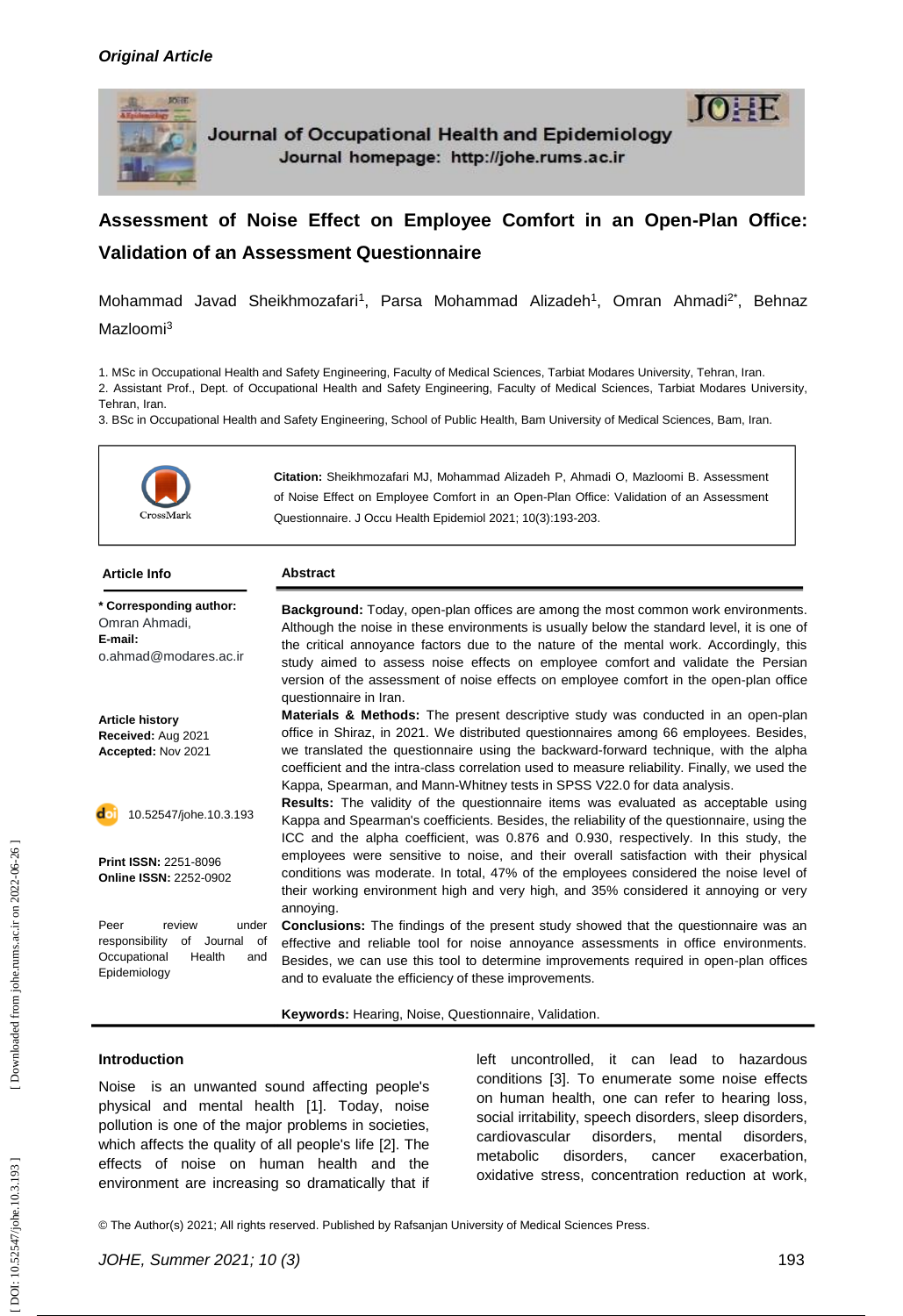

Journal of Occupational Health and Epidemiology Journal homepage: http://johe.rums.ac.ir

# Assessment of Noise Effect on Employee Comfort in an Open-Plan Office: **Validation of an Assessment Questionnaire**

Mohammad Javad Sheikhmozafari<sup>1</sup>, Parsa Mohammad Alizadeh<sup>1</sup>, Omran Ahmadi<sup>2\*</sup>, Behnaz Mazloomi<sup>3</sup>

1. MSc in Occupational Health and Safety Engineering, Faculty of Medical Sciences, Tarbiat Modares University, Tehran, Iran.

2. Assistant Prof., Dept. of Occupational Health and Safety Engineering, Faculty of Medical Sciences, Tarbiat Modares University, Tehran, Iran.

3. BSc in Occupational Health and Safety Engineering, School of Public Health, Bam University of Medical Sciences, Bam, Iran.



| <b>Article Info</b>                                                                                         | <b>Abstract</b>                                                                                                                                                                                                                                                                                                                                                                                                                                                                   |
|-------------------------------------------------------------------------------------------------------------|-----------------------------------------------------------------------------------------------------------------------------------------------------------------------------------------------------------------------------------------------------------------------------------------------------------------------------------------------------------------------------------------------------------------------------------------------------------------------------------|
| * Corresponding author:<br>Omran Ahmadi,<br>E-mail:<br>o.ahmad@modares.ac.ir                                | Background: Today, open-plan offices are among the most common work environments.<br>Although the noise in these environments is usually below the standard level, it is one of<br>the critical annoyance factors due to the nature of the mental work. Accordingly, this<br>study aimed to assess noise effects on employee comfort and validate the Persian<br>version of the assessment of noise effects on employee comfort in the open-plan office<br>questionnaire in Iran. |
| <b>Article history</b><br>Received: Aug 2021<br>Accepted: Nov 2021                                          | <b>Materials &amp; Methods:</b> The present descriptive study was conducted in an open-plan<br>office in Shiraz, in 2021. We distributed questionnaires among 66 employees. Besides,<br>we translated the questionnaire using the backward-forward technique, with the alpha<br>coefficient and the intra-class correlation used to measure reliability. Finally, we used the<br>Kappa, Spearman, and Mann-Whitney tests in SPSS V22.0 for data analysis.                         |
| 10.52547/johe.10.3.193                                                                                      | <b>Results:</b> The validity of the questionnaire items was evaluated as acceptable using<br>Kappa and Spearman's coefficients. Besides, the reliability of the questionnaire, using the<br>ICC and the alpha coefficient, was 0.876 and 0.930, respectively. In this study, the                                                                                                                                                                                                  |
| <b>Print ISSN: 2251-8096</b><br><b>Online ISSN: 2252-0902</b>                                               | employees were sensitive to noise, and their overall satisfaction with their physical<br>conditions was moderate. In total, 47% of the employees considered the noise level of<br>their working environment high and very high, and 35% considered it annoying or very<br>annoying.                                                                                                                                                                                               |
| review<br>Peer<br>under<br>of Journal of<br>responsibility<br>Occupational<br>Health<br>and<br>Epidemiology | <b>Conclusions:</b> The findings of the present study showed that the questionnaire was an<br>effective and reliable tool for noise annoyance assessments in office environments.<br>Besides, we can use this tool to determine improvements required in open-plan offices<br>and to evaluate the efficiency of these improvements.                                                                                                                                               |

Keywords: Hearing, Noise, Questionnaire, Validation.

#### **Introduction**

Noise is an unwanted sound affecting people's physical and mental health [1]. Today, noise pollution is one of the major problems in societies, which affects the quality of all people's life [2]. The effects of noise on human health and the environment are increasing so dramatically that if left uncontrolled, it can lead to hazardous conditions [3]. To enumerate some noise effects on human health, one can refer to hearing loss, social irritability, speech disorders, sleep disorders, cardiovascular disorders, mental disorders, metabolic disorders, cancer exacerbation, oxidative stress, concentration reduction at work,

© The Author(s) 2021; All rights reserved. Published by Rafsanjan University of Medical Sciences Press.

[ DOI: [10.52547/johe.10.3.193 \] \[ Down](http://dx.doi.org/10.52547/johe.10.3.193)[loaded from johe.rums.ac.ir on 2022-06-26 \]](https://johe.rums.ac.ir/article-1-464-en.html) 

DOI: 10.52547/johe.10.3.193]

Downloaded from johe.rums.ac.ir on 2022-06-26

 $10 \pm F$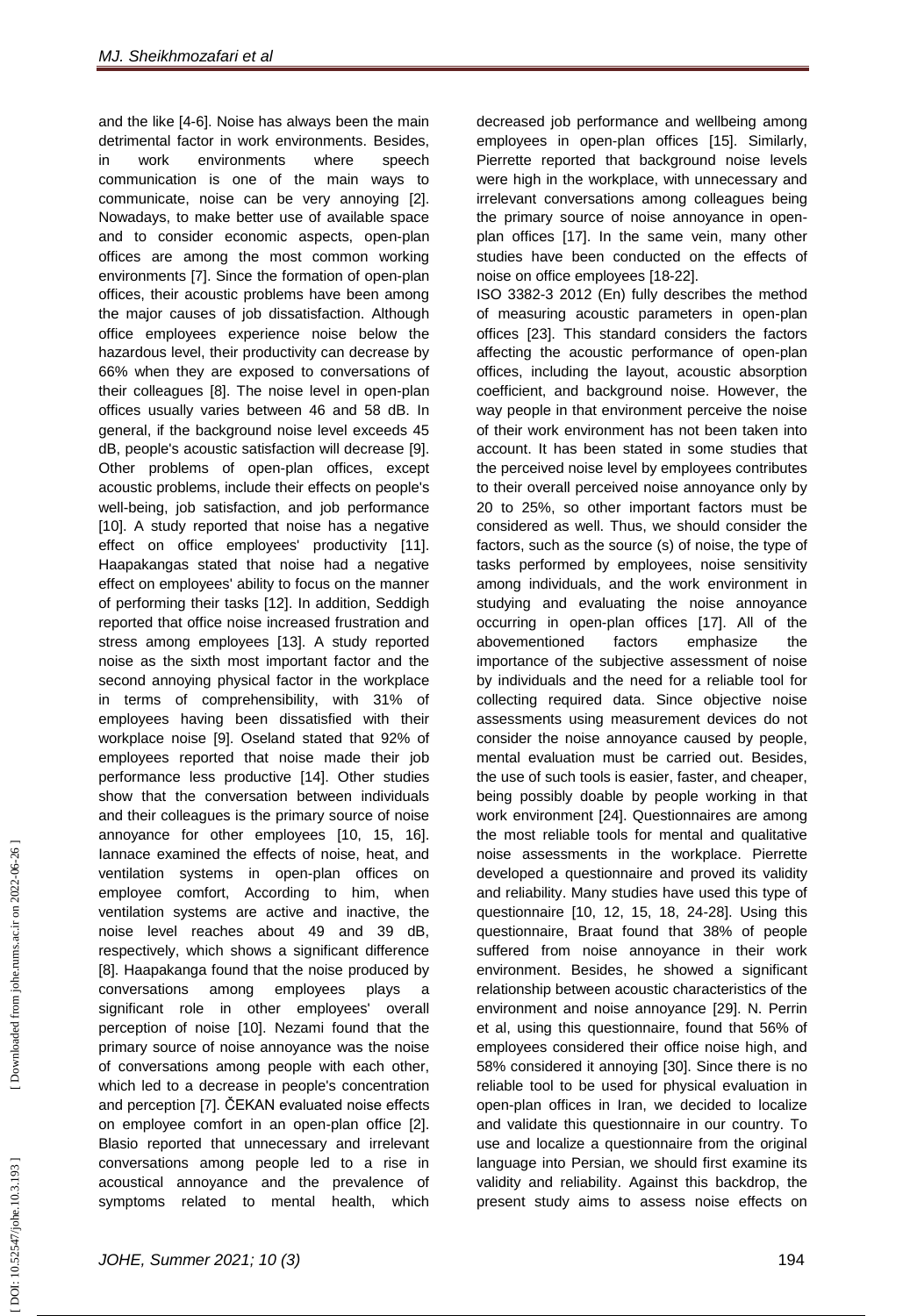and the like [4 - 6]. Noise has always been the main detrimental factor in work environments. Besides, in work environments where speech communication is one of the main ways to communicate, noise can be very annoying [2]. Nowadays, to make better use of available space and to consider economic aspects, open -plan offices are among the most common working environments [7]. Since the formation of open -plan offices, their acoustic problems have been among the major causes of job dissatisfaction. Although office employees experience noise below the hazardous level, their productivity can decrease by 66% when they are exposed to conversations of their colleagues [8]. The noise level in open -plan offices usually varies between 46 and 58 dB. In general, if the background noise level exceeds 45 dB, people's acoustic satisfaction will decrease [9]. Other problems of open-plan offices, except acoustic problems, include their effects on people's well -being, job satisfaction, and job performance [10]. A study reported that noise has a negative effect on office employees' productivity [11]. Haapakangas stated that noise had a negative effect on employees' ability to focus on the manner of performing their tasks [12]. In addition, Seddigh reported that office noise increased frustration and stress among employees [13]. A study reported noise as the sixth most important factor and the second annoying physical factor in the workplace in terms of comprehensibility, with 31% of employees having been dissatisfied with their workplace noise [9]. Oseland stated that 92% of employees reported that noise made their job performance less productive [14]. Other studies show that the conversation between individuals and their colleagues is the primary source of noise annoyance for other employees [10, 15, 16]. Iannace examined the effects of noise, heat, and ventilation systems in open -plan offices on employee comfort, According to him, when ventilation systems are active and inactive, the noise level reaches about 49 and 39 dB, respectively, which shows a significant difference [8]. Haapakanga found that the noise produced by conversations among employees plays a significant role in other employees' overall perception of noise [10]. Nezami found that the primary source of noise annoyance was the noise of conversations among people with each other, which led to a decrease in people's concentration and perception [7]. ČEKAN evaluated noise effects on employee comfort in an open -plan office [2]. Blasio reported that unnecessary and irrelevant conversations among people led to a rise in acoustical annoyance and the prevalence of symptoms related to mental health, which

decreased job performance and wellbeing among employees in open -plan offices [15]. Similarly, Pierrette reported that background noise levels were high in the workplace, with unnecessary and irrelevant conversations among colleagues being the primary source of noise annoyance in open plan offices [17]. In the same vein, many other studies have been conducted on the effects of noise on office employees [18 -22].

ISO 3382 -3 2012 (En) fully describes the method of measuring acoustic parameters in open -plan offices [23]. This standard considers the factors affecting the acoustic performance of open -plan offices, including the layout, acoustic absorption coefficient, and background noise. However, the way people in that environment perceive the noise of their work environment has not been taken into account. It has been stated in some studies that the perceived noise level by employees contributes to their overall perceived noise annoyance only by 20 to 25%, so other important factors must be considered as well. Thus, we should consider the factors, such as the source (s) of noise, the type of tasks performed by employees, noise sensitivity among individuals, and the work environment in studying and evaluating the noise annoyance occurring in open -plan offices [17]. All of the abovementioned factors emphasize the importance of the subjective assessment of noise by individuals and the need for a reliable tool for collecting required data. Since objective noise assessments using measurement devices do not consider the noise annoyance caused by people, mental evaluation must be carried out. Besides, the use of such tools is easier, faster, and cheaper, being possibly doable by people working in that work environment [24]. Questionnaires are among the most reliable tools for mental and qualitative noise assessments in the workplace. Pierrette developed a questionnaire and proved its validity and reliability . Many studies have used this type of questionnaire [10, 12, 15, 18, 24 -28]. Using this questionnaire, Braat found that 38% of people suffered from noise annoyance in their work environment. Besides, he showed a significant relationship between acoustic characteristics of the environment and noise annoyance [29]. N. Perrin et al, using this questionnaire, found that 56% of employees considered their office noise high, and 58% considered it annoying [30]. Since there is no reliable tool to be used for physical evaluation in open -plan offices in Iran, we decided to localize and validate this questionnaire in our country. To use and localize a questionnaire from the original language into Persian, we should first examine its validity and reliability . Against this backdrop, the present study aims to assess noise effects on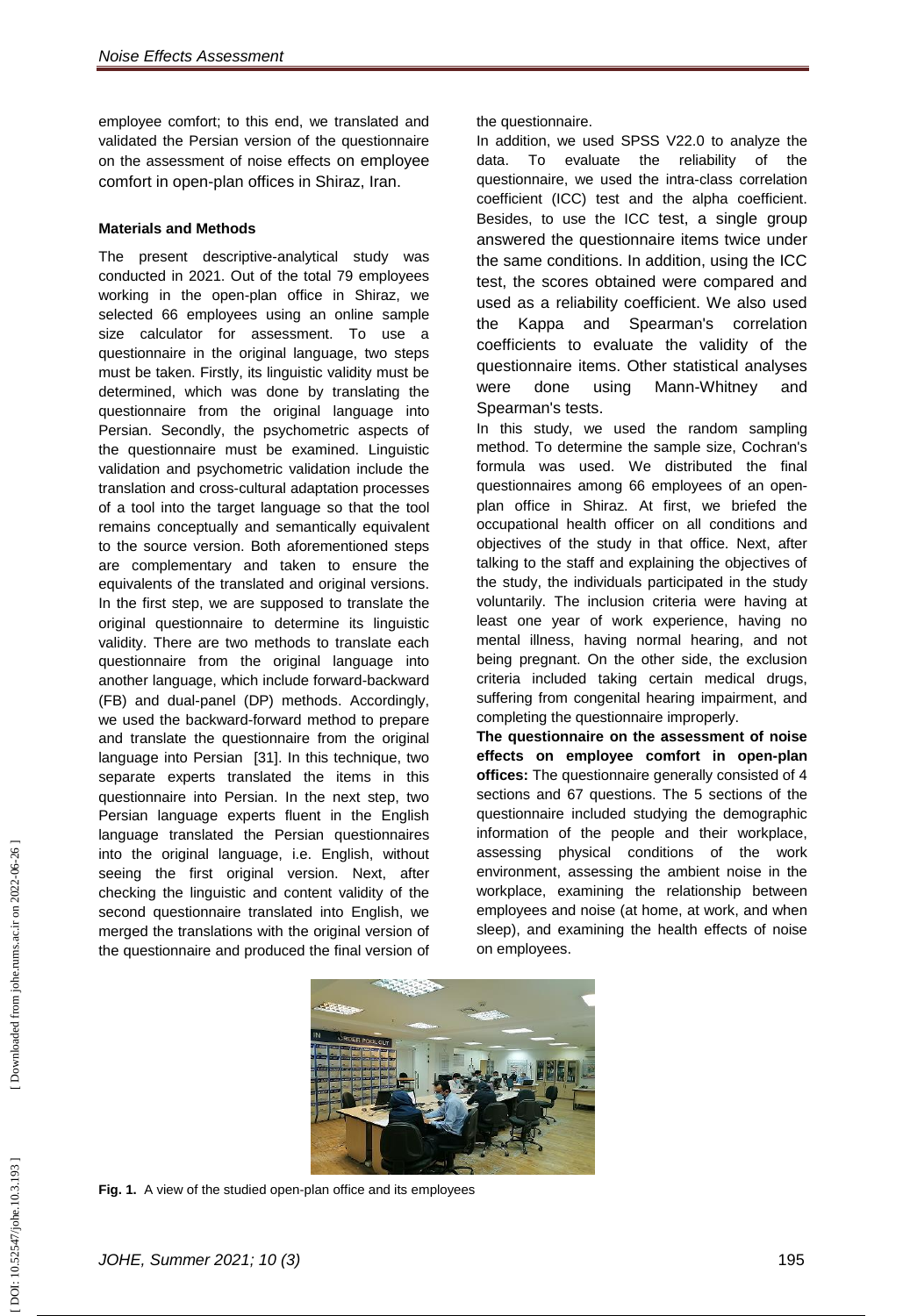employee comfort; to this end, we translated and validated the Persian version of the questionnaire on the assessment of noise effects on employee comfort in open -plan offices in Shiraz, Iran.

# **Materials and Methods**

The present descriptive -analytical study was conducted in 2021. Out of the total 79 employees working in the open -plan office in Shiraz, we selected 66 employees using an online sample size calculator for assessment. To use a questionnaire in the original language, two steps must be taken. Firstly, its linguistic validity must be determined, which was done by translating the questionnaire from the original language into Persian. Secondly, the psychometric aspects of the questionnaire must be examined. Linguistic validation and psychometric validation include the translation and cross -cultural adaptation processes of a tool into the target language so that the tool remains conceptually and semantically equivalent to the source version. Both aforementioned steps are complementary and taken to ensure the equivalents of the translated and original versions. In the first step, we are supposed to translate the original questionnaire to determine its linguistic validity. There are two methods to translate each questionnaire from the original language into another language, which include forward -backward (FB) and dual -panel (DP) methods. Accordingly, we used the backward -forward method to prepare and translate the questionnaire from the original language into Persian [31]. In this technique, two separate experts translated the items in this questionnaire into Persian. In the next step, two Persian language experts fluent in the English language translated the Persian questionnaires into the original language, i.e. English, without seeing the first original version. Next, after checking the linguistic and content validity of the second questionnaire translated into English, we merged the translations with the original version of the questionnaire and produced the final version of

the questionnaire.

In addition, we used SPSS V22.0 to analyze the data. To evaluate the reliability of the questionnaire, we used the intra -class correlation coefficient (ICC) test and the alpha coefficient. Besides, to use the ICC test, a single group answered the questionnaire items twice under the same conditions. In addition, using the ICC test, the scores obtained were compared and used as a reliability coefficient. We also used the Kappa and Spearman's correlation coefficients to evaluate the validity of the questionnaire items. Other statistical analyses were done using Mann-Whitney and Spearman's tests.

In this study, we used the random sampling method. To determine the sample size, Cochran's formula was used. We distributed the final questionnaires among 66 employees of an open plan office in Shiraz. At first, we briefed the occupational health officer on all conditions and objectives of the study in that office. Next, after talking to the staff and explaining the objectives of the study, the individuals participated in the study voluntarily. The inclusion criteria were having at least one year of work experience, having no mental illness, having normal hearing, and not being pregnant. On the other side, the exclusion criteria included taking certain medical drugs, suffering from congenital hearing impairment, and completing the questionnaire improperly.

**The questionnaire on the assessment of noise effects on employee comfort in open -plan offices:** The questionnaire generally consisted of 4 sections and 67 questions. The 5 sections of the questionnaire included studying the demographic information of the people and their workplace, assessing physical conditions of the work environment, assessing the ambient noise in the workplace, examining the relationship between employees and noise (at home, at work, and when sleep), and examining the health effects of noise on employees.



Fig. 1. A view of the studied open-plan office and its employees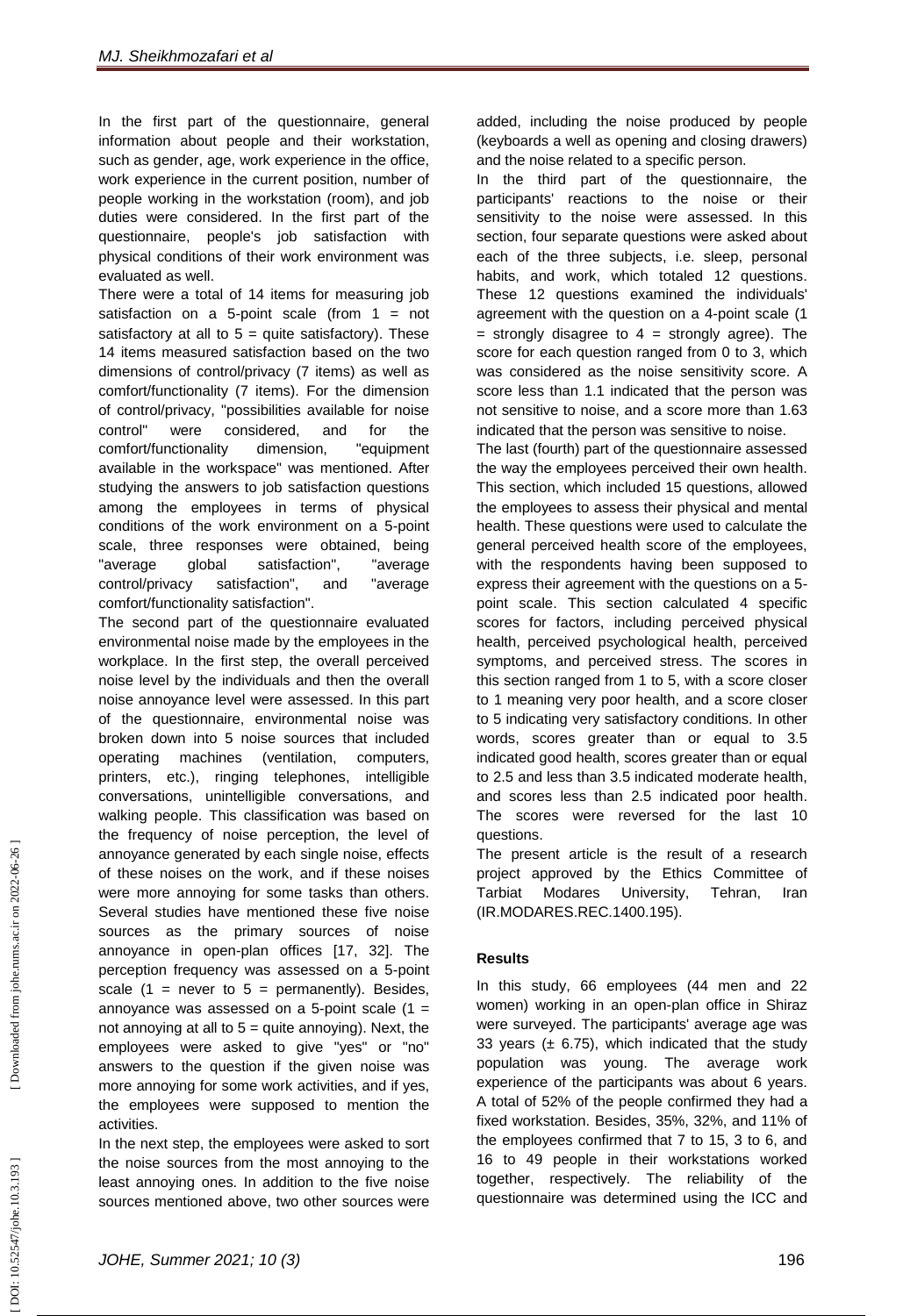In the first part of the questionnaire, general information about people and their workstation, such as gender, age, work experience in the office, work experience in the current position, number of people working in the workstation (room), and job duties were considered. In the first part of the questionnaire, people's job satisfaction with physical conditions of their work environment was evaluated as well.

There were a total of 14 items for measuring job satisfaction on a 5 -point scale (from 1 = not satisfactory at all to  $5 =$  quite satisfactory). These 14 items measured satisfaction based on the two dimensions of control/privacy (7 items) as well as comfort/functionality (7 items). For the dimension of control/privacy, "possibilities available for noise control" were considered, and for the comfort/functionality dimension, "equipment available in the workspace" was mentioned. After studying the answers to job satisfaction questions among the employees in terms of physical conditions of the work environment on a 5 -point scale, three responses were obtained, being "average global satisfaction", "average control/privacy satisfaction", and "average comfort/functionality satisfaction".

The second part of the questionnaire evaluated environmental noise made by the employees in the workplace. In the first step, the overall perceived noise level by the individuals and then the overall noise annoyance level were assessed. In this part of the questionnaire, environmental noise was broken down into 5 noise sources that included operating machines (ventilation, computers, printers, etc.), ringing telephones, intelligible conversations, unintelligible conversations, and walking people. This classification was based on the frequency of noise perception, the level of annoyance generated by each single noise, effects of these noises on the work, and if these noises were more annoying for some tasks than others. Several studies have mentioned these five noise sources as the primary sources of noise annoyance in open -plan offices [17, 32]. The perception frequency was assessed on a 5 -point scale  $(1 =$  never to  $5 =$  permanently). Besides, annoyance was assessed on a 5-point scale  $(1 =$ not annoying at all to  $5 =$  quite annoying). Next, the employees were asked to give "yes" or "no" answers to the question if the given noise was more annoying for some work activities, and if yes, the employees were supposed to mention the activities.

In the next step, the employees were asked to sort the noise sources from the most annoying to the least annoying ones. In addition to the five noise sources mentioned above, two other sources were

added, including the noise produced by people (keyboards a well as opening and closing drawers) and the noise related to a specific person.

In the third part of the questionnaire, the participants' reactions to the noise or their sensitivity to the noise were assessed. In this section, four separate questions were asked about each of the three subjects, i.e. sleep, personal habits, and work, which totaled 12 questions. These 12 questions examined the individuals' agreement with the question on a 4 -point scale (1  $=$  strongly disagree to  $4 =$  strongly agree). The score for each question ranged from 0 to 3, which was considered as the noise sensitivity score. A score less than 1.1 indicated that the person was not sensitive to noise, and a score more than 1.63 indicated that the person was sensitive to noise.

The last (fourth) part of the questionnaire assessed the way the employees perceived their own health. This section, which included 15 questions, allowed the employees to assess their physical and mental health. These questions were used to calculate the general perceived health score of the employees, with the respondents having been supposed to express their agreement with the questions on a 5 point scale. This section calculated 4 specific scores for factors, including perceived physical health, perceived psychological health, perceived symptoms, and perceived stress. The scores in this section ranged from 1 to 5, with a score closer to 1 meaning very poor health, and a score closer to 5 indicating very satisfactory conditions. In other words, scores greater than or equal to 3.5 indicated good health, scores greater than or equal to 2.5 and less than 3.5 indicated moderate health, and scores less than 2.5 indicated poor health. The scores were reversed for the last 10 questions.

The present article is the result of a research project approved by the Ethics Committee of Tarbiat Modares University, Tehran, Iran (IR.MODARES.REC.1400.195).

# **Results**

In this study, 66 employees (44 men and 22 women) working in an open -plan office in Shiraz were surveyed. The participants' average age was 33 years  $(± 6.75)$ , which indicated that the study population was young. The average work experience of the participants was about 6 years. A total of 52% of the people confirmed they had a fixed workstation. Besides, 35%, 32%, and 11% of the employees confirmed that 7 to 15, 3 to 6, and 16 to 49 people in their workstations worked together, respectively. The reliability of the questionnaire was determined using the ICC and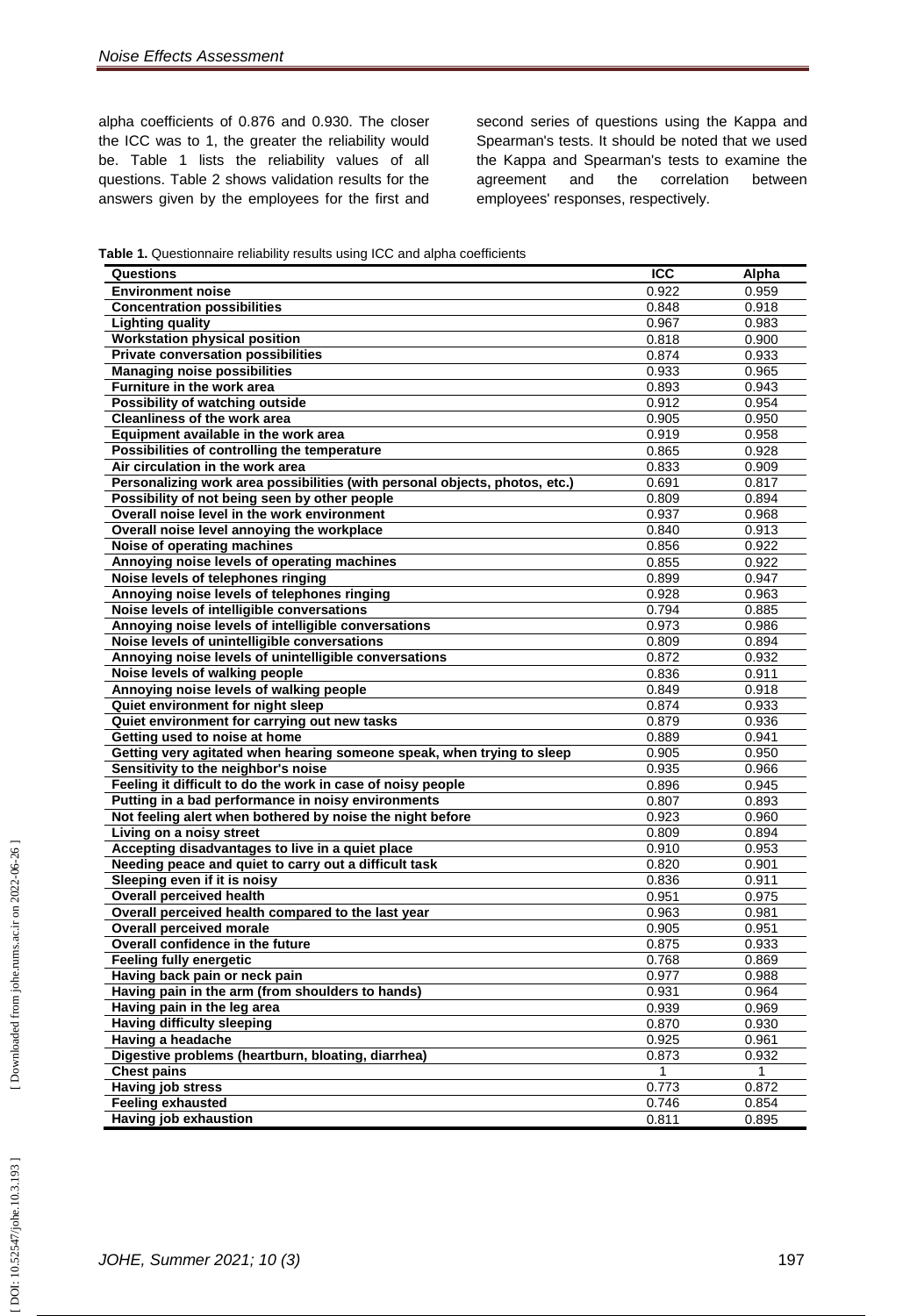alpha coefficients of 0.876 and 0.930. The closer the ICC was to 1, the greater the reliability would be. Table 1 lists the reliability values of all questions. Table 2 shows validation results for the answers given by the employees for the first and

second series of questions using the Kappa and Spearman's tests. It should be noted that we used the Kappa and Spearman's tests to examine the agreement and the correlation between employees' responses, respectively.

**Table 1.** Questionnaire reliability results using ICC and alpha coefficients

| Questions                                                                   | <b>ICC</b>         | Alpha |
|-----------------------------------------------------------------------------|--------------------|-------|
| <b>Environment noise</b>                                                    | 0.922              | 0.959 |
| <b>Concentration possibilities</b>                                          | 0.848              | 0.918 |
| <b>Lighting quality</b>                                                     | 0.967              | 0.983 |
| <b>Workstation physical position</b>                                        | 0.818              | 0.900 |
| <b>Private conversation possibilities</b>                                   | 0.874              | 0.933 |
| <b>Managing noise possibilities</b>                                         | 0.933              | 0.965 |
| Furniture in the work area                                                  | 0.893              | 0.943 |
| Possibility of watching outside                                             | 0.912              | 0.954 |
| <b>Cleanliness of the work area</b>                                         | 0.905              | 0.950 |
| Equipment available in the work area                                        | 0.919              | 0.958 |
| Possibilities of controlling the temperature                                | 0.865              | 0.928 |
| Air circulation in the work area                                            | 0.833              | 0.909 |
| Personalizing work area possibilities (with personal objects, photos, etc.) | 0.691              | 0.817 |
| Possibility of not being seen by other people                               | 0.809              | 0.894 |
| Overall noise level in the work environment                                 | 0.937              | 0.968 |
| Overall noise level annoying the workplace                                  | 0.840              | 0.913 |
| Noise of operating machines                                                 | 0.856              | 0.922 |
| Annoying noise levels of operating machines                                 | 0.855              | 0.922 |
| Noise levels of telephones ringing                                          | 0.899              | 0.947 |
| Annoying noise levels of telephones ringing                                 | 0.928              | 0.963 |
| Noise levels of intelligible conversations                                  | 0.794              | 0.885 |
| Annoying noise levels of intelligible conversations                         | 0.973              | 0.986 |
| Noise levels of unintelligible conversations                                | 0.809              | 0.894 |
| Annoying noise levels of unintelligible conversations                       | 0.872              | 0.932 |
| Noise levels of walking people                                              | 0.836              | 0.911 |
| Annoying noise levels of walking people                                     | 0.849              | 0.918 |
| Quiet environment for night sleep                                           | 0.874              | 0.933 |
| Quiet environment for carrying out new tasks                                | 0.879              | 0.936 |
| Getting used to noise at home                                               | 0.889              | 0.941 |
| Getting very agitated when hearing someone speak, when trying to sleep      | 0.905              | 0.950 |
| Sensitivity to the neighbor's noise                                         | 0.935              | 0.966 |
| Feeling it difficult to do the work in case of noisy people                 | 0.896              | 0.945 |
| Putting in a bad performance in noisy environments                          | 0.807              | 0.893 |
| Not feeling alert when bothered by noise the night before                   | 0.923              | 0.960 |
| Living on a noisy street                                                    | 0.809              | 0.894 |
| Accepting disadvantages to live in a quiet place                            | 0.910              | 0.953 |
| Needing peace and quiet to carry out a difficult task                       | 0.820              | 0.901 |
| Sleeping even if it is noisy                                                | 0.836              | 0.911 |
| <b>Overall perceived health</b>                                             | 0.951              | 0.975 |
| Overall perceived health compared to the last year                          | 0.963              | 0.981 |
| <b>Overall perceived morale</b>                                             | 0.905              | 0.951 |
| Overall confidence in the future                                            | 0.875              | 0.933 |
| <b>Feeling fully energetic</b>                                              | 0.768              | 0.869 |
| Having back pain or neck pain                                               | 0.977              | 0.988 |
| Having pain in the arm (from shoulders to hands)                            | 0.931              | 0.964 |
| Having pain in the leg area                                                 | 0.939              | 0.969 |
| <b>Having difficulty sleeping</b>                                           | 0.870              | 0.930 |
| Having a headache                                                           | 0.925              | 0.961 |
| Digestive problems (heartburn, bloating, diarrhea)                          | 0.873              | 0.932 |
| <b>Chest pains</b>                                                          | 1                  | 1     |
| <b>Having job stress</b>                                                    | $\overline{0.773}$ | 0.872 |
| <b>Feeling exhausted</b>                                                    | 0.746              | 0.854 |
| Having job exhaustion                                                       | 0.811              | 0.895 |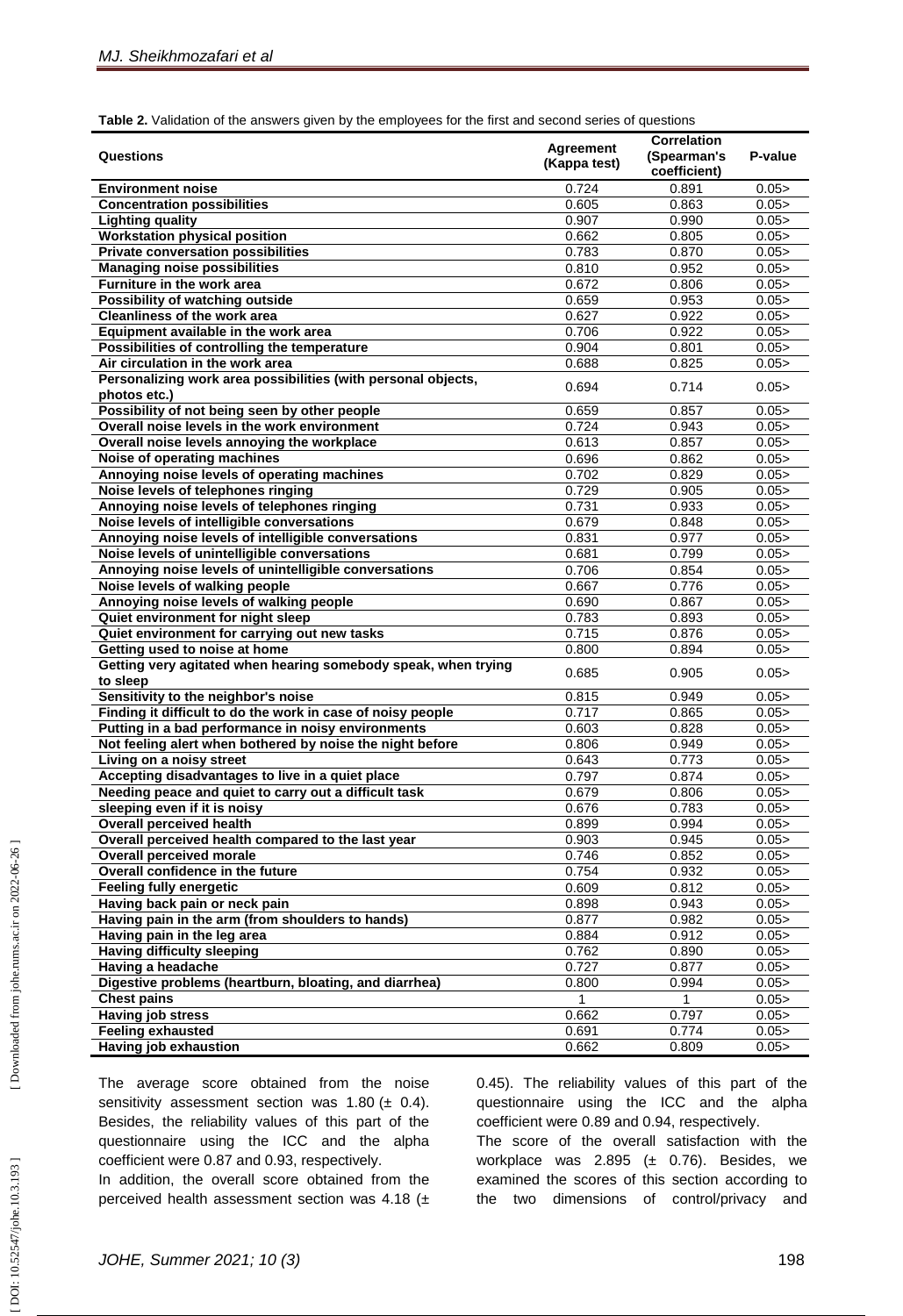**Table 2.** Validation of the answers given by the employees for the first and second series of questions

|                                                                |                  | <b>Correlation</b> |         |
|----------------------------------------------------------------|------------------|--------------------|---------|
| <b>Questions</b>                                               | <b>Agreement</b> | (Spearman's        | P-value |
|                                                                | (Kappa test)     | coefficient)       |         |
|                                                                |                  |                    |         |
| <b>Environment noise</b>                                       | 0.724            | 0.891              | 0.05    |
| <b>Concentration possibilities</b>                             | 0.605            | 0.863              | 0.05    |
| <b>Lighting quality</b>                                        | 0.907            | 0.990              | 0.05    |
| <b>Workstation physical position</b>                           | 0.662            | 0.805              | 0.05    |
| <b>Private conversation possibilities</b>                      | 0.783            | 0.870              | 0.05    |
| <b>Managing noise possibilities</b>                            | 0.810            | 0.952              | 0.05    |
| <b>Furniture in the work area</b>                              | 0.672            | 0.806              | 0.05    |
| Possibility of watching outside                                | 0.659            | 0.953              | 0.05    |
| <b>Cleanliness of the work area</b>                            | 0.627            | 0.922              | 0.05    |
| Equipment available in the work area                           | 0.706            | 0.922              | 0.05    |
| Possibilities of controlling the temperature                   | 0.904            | 0.801              | 0.05    |
| Air circulation in the work area                               | 0.688            | 0.825              | 0.05 >  |
| Personalizing work area possibilities (with personal objects,  |                  |                    |         |
| photos etc.)                                                   | 0.694            | 0.714              | 0.05    |
| Possibility of not being seen by other people                  | 0.659            | 0.857              | 0.05    |
| Overall noise levels in the work environment                   | 0.724            | 0.943              | 0.05    |
| Overall noise levels annoying the workplace                    | 0.613            | 0.857              | 0.05    |
| Noise of operating machines                                    | 0.696            | 0.862              | 0.05    |
| Annoying noise levels of operating machines                    | 0.702            | 0.829              | 0.05    |
| Noise levels of telephones ringing                             | 0.729            | 0.905              | 0.05    |
| Annoying noise levels of telephones ringing                    | 0.731            | 0.933              | 0.05    |
| Noise levels of intelligible conversations                     | 0.679            | 0.848              | 0.05    |
| Annoying noise levels of intelligible conversations            | 0.831            | 0.977              | 0.05    |
|                                                                |                  |                    |         |
| Noise levels of unintelligible conversations                   | 0.681            | 0.799              | 0.05    |
| Annoying noise levels of unintelligible conversations          | 0.706            | 0.854              | 0.05    |
| Noise levels of walking people                                 | 0.667            | 0.776              | 0.05    |
| Annoying noise levels of walking people                        | 0.690            | 0.867              | 0.05    |
| Quiet environment for night sleep                              | 0.783            | 0.893              | 0.05    |
| Quiet environment for carrying out new tasks                   | 0.715            | 0.876              | 0.05    |
| Getting used to noise at home                                  | 0.800            | 0.894              | 0.05    |
| Getting very agitated when hearing somebody speak, when trying | 0.685            | 0.905              | 0.05    |
| to sleep                                                       |                  |                    |         |
| Sensitivity to the neighbor's noise                            | 0.815            | 0.949              | 0.05    |
| Finding it difficult to do the work in case of noisy people    | 0.717            | 0.865              | 0.05    |
| Putting in a bad performance in noisy environments             | 0.603            | 0.828              | 0.05    |
| Not feeling alert when bothered by noise the night before      | 0.806            | 0.949              | 0.05 >  |
| Living on a noisy street                                       | 0.643            | 0.773              | 0.05    |
| Accepting disadvantages to live in a quiet place               | 0.797            | 0.874              | 0.05    |
| Needing peace and quiet to carry out a difficult task          | 0.679            | 0.806              | 0.05    |
| sleeping even if it is noisy                                   | 0.676            | 0.783              | 0.05    |
| <b>Overall perceived health</b>                                | 0.899            | 0.994              | 0.05    |
| Overall perceived health compared to the last year             | 0.903            | 0.945              | 0.05    |
| <b>Overall perceived morale</b>                                | 0.746            | 0.852              | 0.05    |
| Overall confidence in the future                               | 0.754            | 0.932              | 0.05    |
| <b>Feeling fully energetic</b>                                 | 0.609            | 0.812              | 0.05    |
| Having back pain or neck pain                                  | 0.898            | 0.943              | 0.05    |
| Having pain in the arm (from shoulders to hands)               | 0.877            | 0.982              | 0.05    |
| Having pain in the leg area                                    | 0.884            | 0.912              | 0.05    |
| <b>Having difficulty sleeping</b>                              | 0.762            | 0.890              | 0.05    |
| Having a headache                                              | 0.727            | 0.877              | 0.05    |
| Digestive problems (heartburn, bloating, and diarrhea)         | 0.800            | 0.994              | 0.05    |
| <b>Chest pains</b>                                             |                  |                    | 0.05    |
| <b>Having job stress</b>                                       | 0.662            | 0.797              | 0.05    |
| <b>Feeling exhausted</b>                                       | 0.691            | 0.774              | 0.05    |
| Having job exhaustion                                          | 0.662            | 0.809              | 0.05    |
|                                                                |                  |                    |         |

The average score obtained from the noise sensitivity assessment section was  $1.80 \ (\pm 0.4)$ . Besides, the reliability values of this part of the questionnaire using the ICC and the alpha coefficient were 0.87 and 0.93, respectively.

In addition, the overall score obtained from the perceived health assessment section was 4.18 (± 0.45). The reliability values of this part of the questionnaire using the ICC and the alpha coefficient were 0.89 and 0.94, respectively.

The score of the overall satisfaction with the workplace was 2.895 (± 0.76). Besides, we examined the scores of this section according to the two dimensions of control/privacy and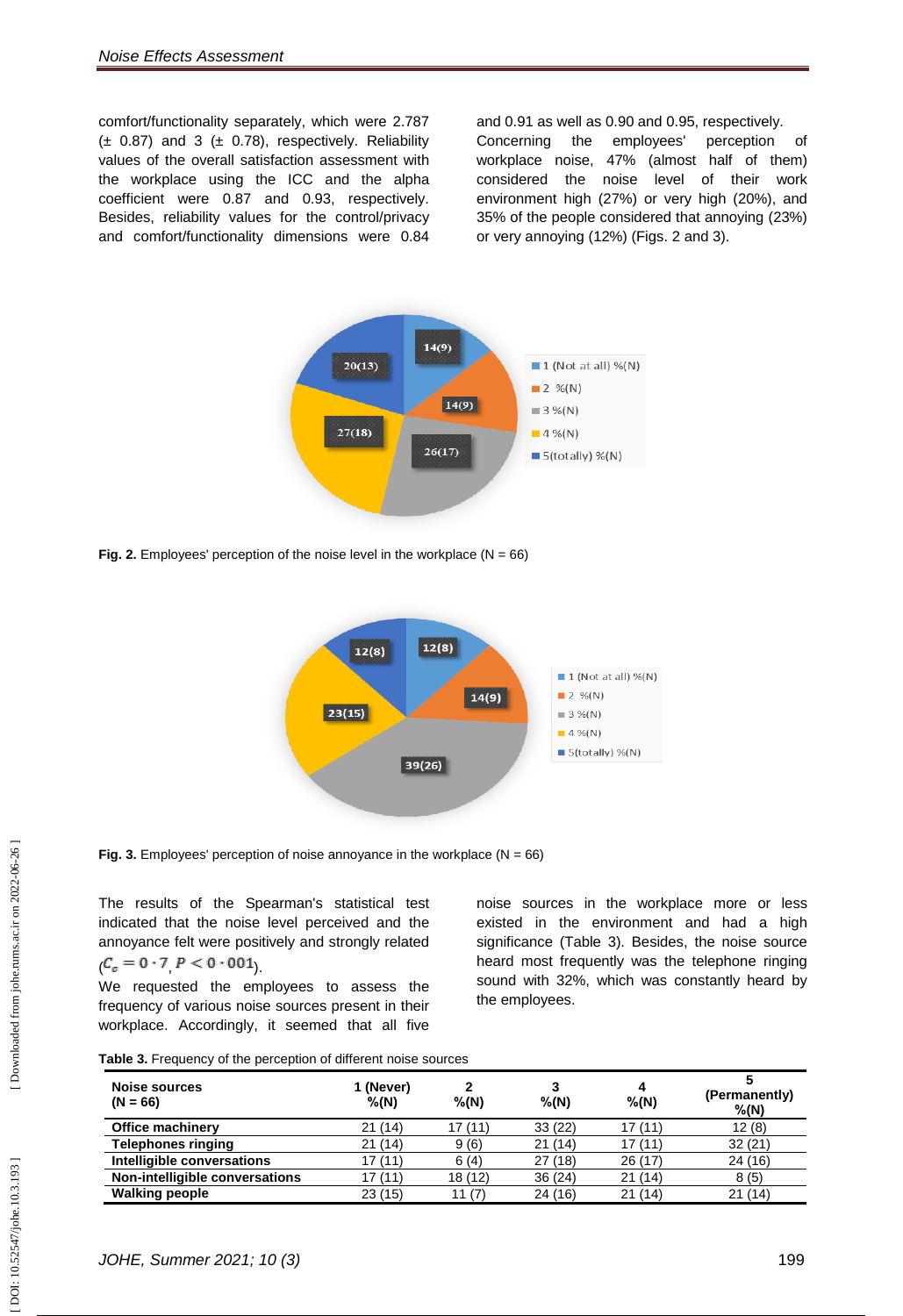comfort/functionality separately, which were 2.787  $(\pm 0.87)$  and 3  $(\pm 0.78)$ , respectively. Reliability values of the overall satisfaction assessment with the workplace using the ICC and the alpha coefficient were 0.87 and 0.93, respectively. Besides, reliability values for the control/privacy and comfort/functionality dimensions were 0.84

and 0.91 as well as 0.90 and 0.95, respectively. Concerning the employees' perception of workplace noise, 47% (almost half of them) considered the noise level of their work environment high (27%) or very high (20%), and 35% of the people considered that annoying (23%) or very annoying (12%) (Figs. 2 and 3).



**Fig. 2.** Employees' perception of the noise level in the workplace  $(N = 66)$ 



**Fig. 3.** Employees' perception of noise annoyance in the workplace  $(N = 66)$ 

The results of the Spearman's statistical test indicated that the noise level perceived and the annoyance felt were positively and strongly related  $(C_c = 0.7 P < 0.001)$ .

We requested the employees to assess the frequency of various noise sources present in their workplace. Accordingly, it seemed that all five noise sources in the workplace more or less existed in the environment and had a high significance (Table 3). Besides, the noise source heard most frequently was the telephone ringing sound with 32%, which was constantly heard by the employees.

| Noise sources<br>$(N = 66)$    | 1 (Never)<br>$%$ (N) | $%$ (N) | 3<br>$%$ (N) | Д<br>$%$ (N) | (Permanently)<br>$%$ (N) |
|--------------------------------|----------------------|---------|--------------|--------------|--------------------------|
| <b>Office machinery</b>        | 21(14)               | 17(11)  | 33(22)       | 17 (11)      | 12(8)                    |
| <b>Telephones ringing</b>      | 21(14)               | 9(6)    | 21(14)       | 17 (11       | 32 (21)                  |
| Intelligible conversations     | 17 (11)              | 6(4)    | 27(18)       | 26 (17)      | 24 (16)                  |
| Non-intelligible conversations | 17 (11)              | 18 (12) | 36 (24)      | 21(14)       | 8(5)                     |
| <b>Walking people</b>          | 23(15)               | 11 (7   | 24(16)       | 21(14)       | (14)<br>21               |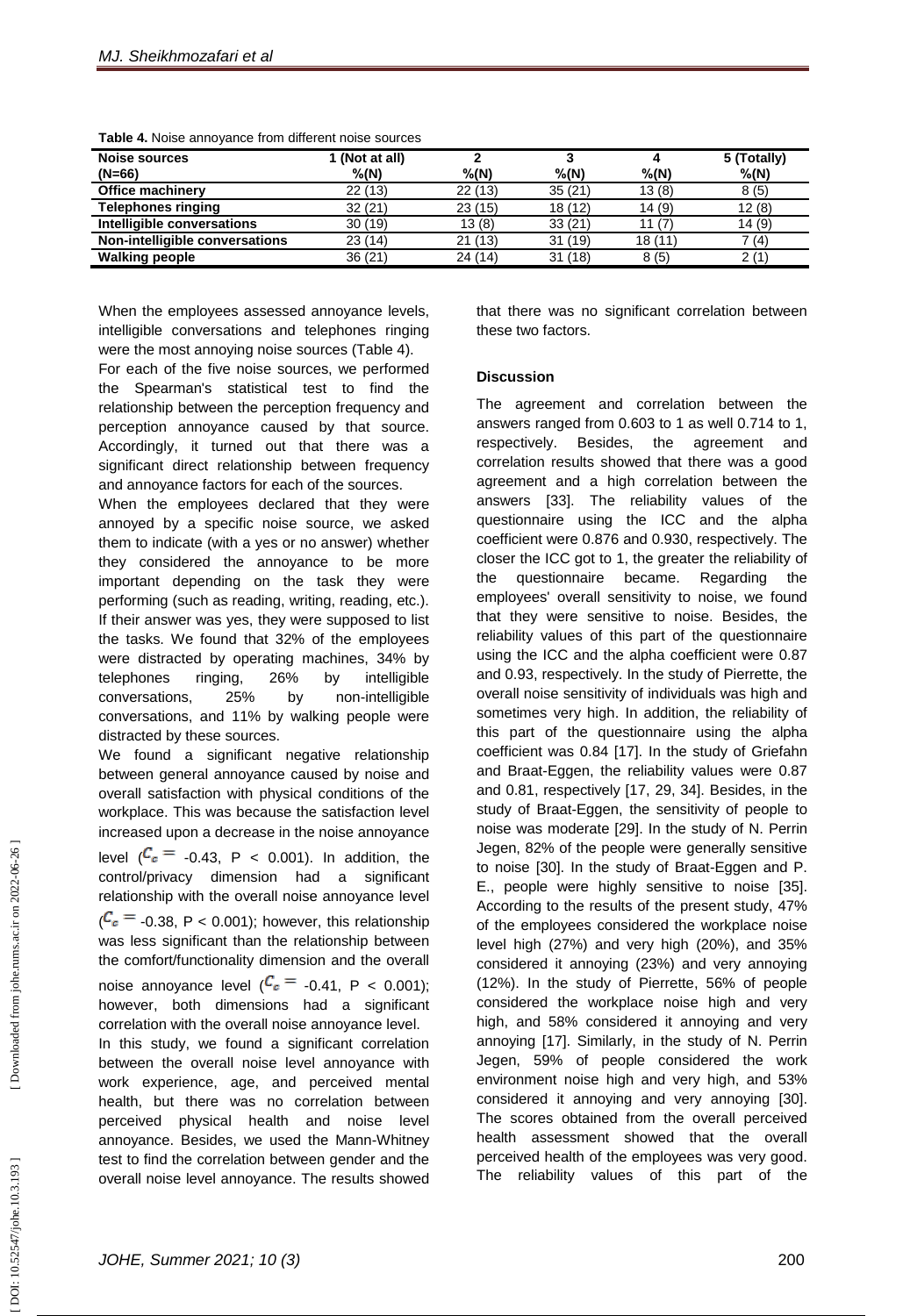| <b>Noise sources</b><br>$(N=66)$ | 1 (Not at all)<br>$%$ (N) | $%$ (N) | $%$ (N) | $%$ (N) | 5 (Totally)<br>$%$ (N) |
|----------------------------------|---------------------------|---------|---------|---------|------------------------|
| <b>Office machinery</b>          | 22(13)                    | 22(13)  | 35(21)  | 13(8)   | 8(5)                   |
| <b>Telephones ringing</b>        | 32(21)                    | 23(15)  | 18(12)  | 14(9)   | 12(8)                  |
| Intelligible conversations       | 30(19)                    | 13(8)   | 33(21)  | 11 (7   | 14(9)                  |
| Non-intelligible conversations   | 23(14)                    | 21(13)  | 31(19)  | 18 (11) | 7 (4)                  |
| <b>Walking people</b>            | 36 (21)                   | 24 (14) | 31(18)  | 8(5)    | 2 (1                   |

**Table 4.** Noise annoyance from different noise sources

When the employees assessed annoyance levels, intelligible conversations and telephones ringing were the most annoying noise sources (Table 4).

For each of the five noise sources, we performed the Spearman's statistical test to find the relationship between the perception frequency and perception annoyance caused by that source. Accordingly, it turned out that there was a significant direct relationship between frequency and annoyance factors for each of the sources.

When the employees declared that they were annoyed by a specific noise source, we asked them to indicate (with a yes or no answer) whether they considered the annoyance to be more important depending on the task they were performing (such as reading, writing, reading, etc.). If their answer was yes, they were supposed to list the tasks. We found that 32% of the employees were distracted by operating machines, 34% by telephones ringing, 26% by intelligible conversations, 25% by non-intelligible conversations, and 11% by walking people were distracted by these sources.

We found a significant negative relationship between general annoyance caused by noise and overall satisfaction with physical conditions of the workplace. This was because the satisfaction level increased upon a decrease in the noise annoyance level  $\binom{C_c}{ }$  0.43, P < 0.001). In addition, the control/privacy dimension had a significant relationship with the overall noise annoyance level  $(C_e = -0.38, P < 0.001)$ ; however, this relationship was less significant than the relationship between the comfort/functionality dimension and the overall noise annoyance level  $(\frac{c}{\epsilon} - 0.41, P < 0.001)$ ; however, both dimensions had a significant correlation with the overall noise annoyance level. In this study, we found a significant correlation between the overall noise level annoyance with work experience, age, and perceived mental health, but there was no correlation between perceived physical health and noise level annoyance. Besides, we used the Mann -Whitney

test to find the correlation between gender and the overall noise level annoyance. The results showed that there was no significant correlation between these two factors.

# **Discussion**

The agreement and correlation between the answers ranged from 0.603 to 1 as well 0.714 to 1, respectively. Besides, the agreement and correlation results showed that there was a good agreement and a high correlation between the answers [33]. The reliability values of the questionnaire using the ICC and the alpha coefficient were 0.876 and 0.930, respectively. The closer the ICC got to 1, the greater the reliability of the questionnaire became. Regarding the employees' overall sensitivity to noise, we found that they were sensitive to noise. Besides, the reliability values of this part of the questionnaire using the ICC and the alpha coefficient were 0.87 and 0.93, respectively. In the study of Pierrette, the overall noise sensitivity of individuals was high and sometimes very high. In addition, the reliability of this part of the questionnaire using the alpha coefficient was 0.84 [17]. In the study of Griefahn and Braat -Eggen, the reliability values were 0.87 and 0.81, respectively [17, 29, 34]. Besides, in the study of Braat -Eggen, the sensitivity of people to noise was moderate [29]. In the study of N. Perrin Jegen, 82% of the people were generally sensitive to noise [30]. In the study of Braat -Eggen and P. E., people were highly sensitive to noise [35]. According to the results of the present study, 47% of the employees considered the workplace noise level high (27%) and very high (20%), and 35% considered it annoying (23%) and very annoying (12%). In the study of Pierrette, 56% of people considered the workplace noise high and very high, and 58% considered it annoying and very annoying [17]. Similarly, in the study of N. Perrin Jegen, 59% of people considered the work environment noise high and very high, and 53% considered it annoying and very annoying [30]. The scores obtained from the overall perceived health assessment showed that the overall perceived health of the employees was very good. The reliability values of this part of the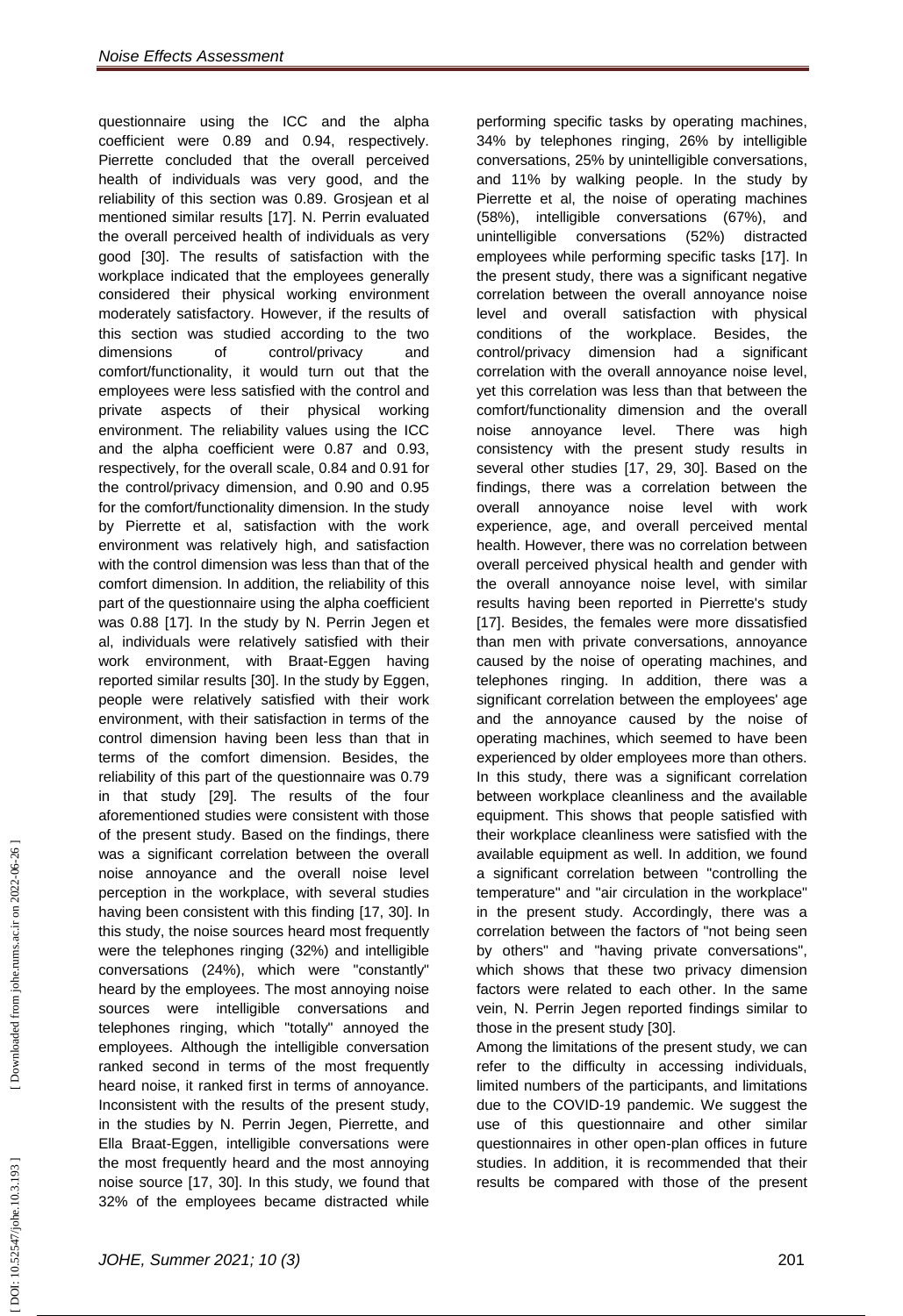questionnaire using the ICC and the alpha coefficient were 0.89 and 0.94, respectively. Pierrette concluded that the overall perceived health of individuals was very good, and the reliability of this section was 0.89. Grosjean et al mentioned similar results [17]. N. Perrin evaluated the overall perceived health of individuals as very good [30]. The results of satisfaction with the workplace indicated that the employees generally considered their physical working environment moderately satisfactory. However, if the results of this section was studied according to the two dimensions of control/privacy and comfort/functionality, it would turn out that the employees were less satisfied with the control and private aspects of their physical working environment. The reliability values using the ICC and the alpha coefficient were 0.87 and 0.93, respectively, for the overall scale, 0.84 and 0.91 for the control/privacy dimension, and 0.90 and 0.95 for the comfort/functionality dimension. In the study by Pierrette et al, satisfaction with the work environment was relatively high, and satisfaction with the control dimension was less than that of the comfort dimension. In addition, the reliability of this part of the questionnaire using the alpha coefficient was 0.88 [17]. In the study by N. Perrin Jegen et al, individuals were relatively satisfied with their work environment, with Braat -Eggen having reported similar results [30]. In the study by Eggen, people were relatively satisfied with their work environment, with their satisfaction in terms of the control dimension having been less than that in terms of the comfort dimension. Besides, the reliability of this part of the questionnaire was 0.79 in that study [29]. The results of the four aforementioned studies were consistent with those of the present study. Based on the findings, there was a significant correlation between the overall noise annoyance and the overall noise level perception in the workplace, with several studies having been consistent with this finding [17, 30]. In this study, the noise sources heard most frequently were the telephones ringing (32%) and intelligible conversations (24%), which were "constantly" heard by the employees. The most annoying noise sources were intelligible conversations and telephones ringing, which "totally" annoyed the employees. Although the intelligible conversation ranked second in terms of the most frequently heard noise, it ranked first in terms of annoyance. Inconsistent with the results of the present study, in the studies by N. Perrin Jegen, Pierrette, and Ella Braat -Eggen, intelligible conversations were the most frequently heard and the most annoying noise source [17, 30]. In this study, we found that 32% of the employees became distracted while

performing specific tasks by operating machines, 34% by telephones ringing, 26% by intelligible conversations, 25% by unintelligible conversations, and 11% by walking people. In the study by Pierrette et al, the noise of operating machines (58%), intelligible conversations (67%), and unintelligible conversations (52%) distracted employees while performing specific tasks [17]. In the present study, there was a significant negative correlation between the overall annoyance noise level and overall satisfaction with physical conditions of the workplace. Besides, the control/privacy dimension had a significant correlation with the overall annoyance noise level, yet this correlation was less than that between the comfort/functionality dimension and the overall noise annoyance level. There was high consistency with the present study results in several other studies [17, 29, 30]. Based on the findings, there was a correlation between the overall annoyance noise level with work experience, age, and overall perceived mental health. However, there was no correlation between overall perceived physical health and gender with the overall annoyance noise level, with similar results having been reported in Pierrette's study [17]. Besides, the females were more dissatisfied than men with private conversations, annoyance caused by the noise of operating machines, and telephones ringing. In addition, there was a significant correlation between the employees' age and the annoyance caused by the noise of operating machines, which seemed to have been experienced by older employees more than others. In this study, there was a significant correlation between workplace cleanliness and the available equipment. This shows that people satisfied with their workplace cleanliness were satisfied with the available equipment as well. In addition, we found a significant correlation between "controlling the temperature" and "air circulation in the workplace" in the present study. Accordingly, there was a correlation between the factors of "not being seen by others" and "having private conversations", which shows that these two privacy dimension factors were related to each other. In the same vein, N. Perrin Jegen reported findings similar to those in the present study [30].

Among the limitations of the present study, we can refer to the difficulty in accessing individuals, limited numbers of the participants, and limitations due to the COVID -19 pandemic. We suggest the use of this questionnaire and other similar questionnaires in other open -plan offices in future studies. In addition, it is recommended that their results be compared with those of the present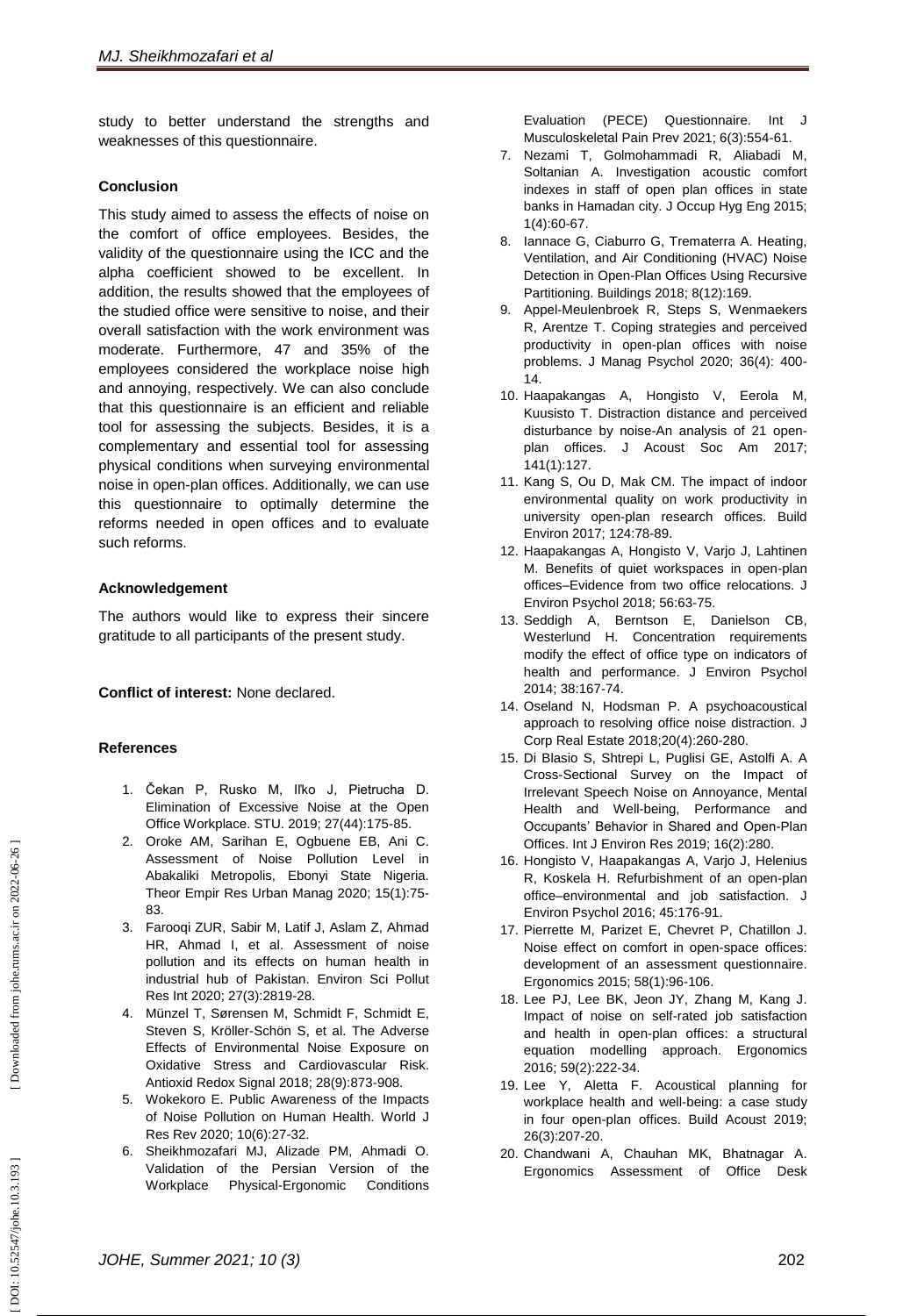study to better understand the strengths and weaknesses of this questionnaire.

#### **Conclusion**

This study aimed to assess the effects of noise on the comfort of office employees. Besides, the validity of the questionnaire using the ICC and the alpha coefficient showed to be excellent. In addition, the results showed that the employees of the studied office were sensitive to noise, and their overall satisfaction with the work environment was moderate. Furthermore, 47 and 35% of the employees considered the workplace noise high and annoying, respectively. We can also conclude that this questionnaire is an efficient and reliable tool for assessing the subjects. Besides, it is a complementary and essential tool for assessing physical conditions when surveying environmental noise in open -plan offices. Additionally, we can use this questionnaire to optimally determine the reforms needed in open offices and to evaluate such reforms.

#### **Acknowledgement**

The authors would like to express their sincere gratitude to all participants of the present study.

**Conflict of interest:** None declared.

# **References**

- 1. Čekan P, Rusko M, Iľko J, Pietrucha D. Elimination of Excessive Noise at the Open Office Workplace. STU. 2019; 27(44):175 -85.
- 2 . Oroke AM, Sarihan E, Ogbuene EB, Ani C. Assessment of Noise Pollution Level in Abakaliki Metropolis, Ebonyi State Nigeria. Theor Empir Res Urban Manag 2020; 15(1):75 - 83.
- 3 . Farooqi ZUR, Sabir M, Latif J, Aslam Z, Ahmad HR, Ahmad I, et al. Assessment of noise pollution and its effects on human health in industrial hub of Pakistan. Environ Sci Pollut Res Int 2020; 27(3):2819 -28.
- 4 . Münzel T, Sørensen M, Schmidt F, Schmidt E, Steven S, Kröller -Schön S, et al. The Adverse Effects of Environmental Noise Exposure on Oxidative Stress and Cardiovascular Risk. Antioxid Redox Signal 2018; 28(9):873 -908.
- 5 . Wokekoro E. Public Awareness of the Impacts of Noise Pollution on Human Health. World J Res Rev 2020; 10(6):27 -32.
- 6 . Sheikhmozafari MJ, Alizade PM, Ahmadi O. Validation of the Persian Version of the Workplace Physical -Ergonomic Conditions

Evaluation (PECE) Questionnaire. Int Musculoskeletal Pain Prev 2021; 6(3):554 -61.

- 7 . Nezami T, Golmohammadi R, Aliabadi M, Soltanian A. Investigation acoustic comfort indexes in staff of open plan offices in state banks in Hamadan city. J Occup Hyg Eng 2015; 1(4):60 -67.
- 8 . Iannace G, Ciaburro G, Trematerra A. Heating, Ventilation, and Air Conditioning (HVAC) Noise Detection in Open -Plan Offices Using Recursive Partitioning. Buildings 2018; 8(12):169.
- 9 . Appel -Meulenbroek R, Steps S, Wenmaekers R, Arentze T. Coping strategies and perceived productivity in open -plan offices with noise problems. J Manag Psychol 2020; 36(4): 400 - 14.
- 10 . Haapakangas A, Hongisto V, Eerola M, Kuusisto T. Distraction distance and perceived disturbance by noise -An analysis of 21 open plan offices. J Acoust Soc Am 2017; 141(1):127.
- 11 . Kang S, Ou D, Mak CM. The impact of indoor environmental quality on work productivity in university open -plan research offices. Build Environ 2017; 124:78 -89.
- 12 . Haapakangas A, Hongisto V, Varjo J, Lahtinen M. Benefits of quiet workspaces in open -plan offices –Evidence from two office relocations. J Environ Psychol 2018; 56:63 -75.
- 13 . Seddigh A, Berntson E, Danielson CB, Westerlund H. Concentration requirements modify the effect of office type on indicators of health and performance. J Environ Psychol 2014; 38:167 -74.
- 14 . Oseland N, Hodsman P. A psychoacoustical approach to resolving office noise distraction. J Corp Real Estate 2018;20(4):260 -280.
- 15 . Di Blasio S, Shtrepi L, Puglisi GE, Astolfi A. A Cross -Sectional Survey on the Impact of Irrelevant Speech Noise on Annoyance, Mental Health and Well -being, Performance and Occupants' Behavior in Shared and Open -Plan Offices. Int J Environ Res 2019; 16(2):280.
- 16 . Hongisto V, Haapakangas A, Varjo J, Helenius R, Koskela H. Refurbishment of an open -plan office –environmental and job satisfaction. J Environ Psychol 2016; 45:176 -91.
- 17 . Pierrette M, Parizet E, Chevret P, Chatillon J. Noise effect on comfort in open -space offices: development of an assessment questionnaire. Ergonomics 2015; 58(1):96 -106.
- 18 . Lee PJ, Lee BK, Jeon JY, Zhang M, Kang J. Impact of noise on self -rated job satisfaction and health in open -plan offices: a structural equation modelling approach. Ergonomics 2016; 59(2):222 -34.
- 19 . Lee Y, Aletta F. Acoustical planning for workplace health and well -being: a case study in four open -plan offices. Build Acoust 2019; 26(3):207 -20.
- 20 . Chandwani A, Chauhan MK, Bhatnagar A. Ergonomics Assessment of Office Desk